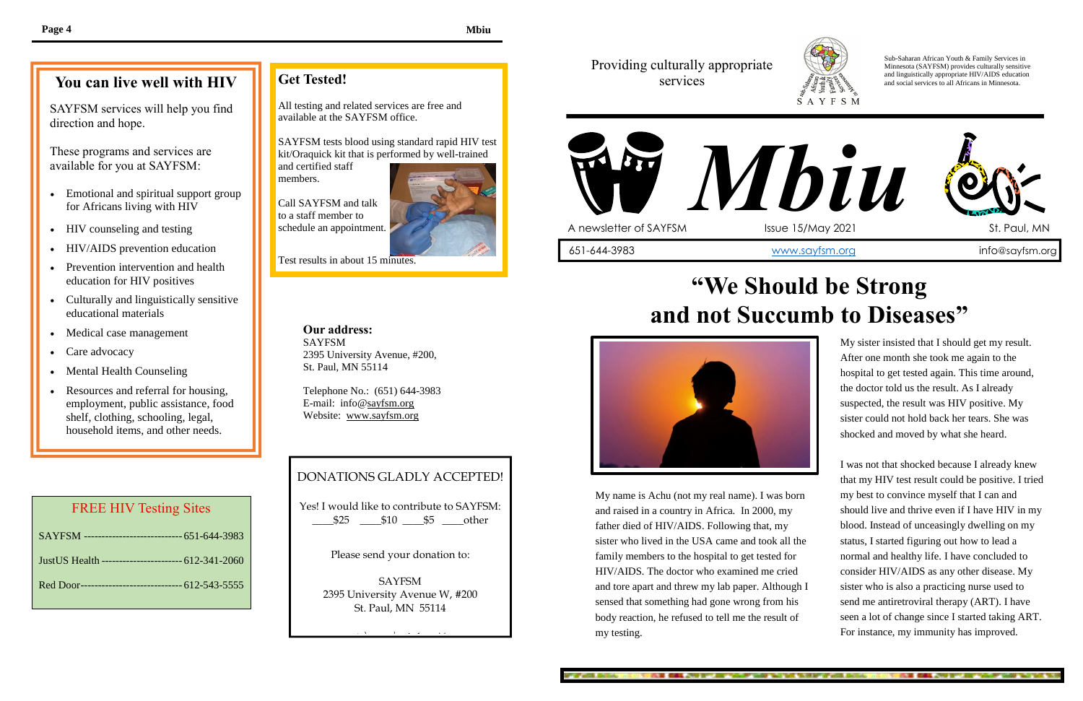My sister insisted that I should get my result. After one month she took me again to the hospital to get tested again. This time around, the doctor told us the result. As I already suspected, the result was HIV positive. My sister could not hold back her tears. She was shocked and moved by what she heard.

I was not that shocked because I already knew that my HIV test result could be positive. I tried my best to convince myself that I can and should live and thrive even if I have HIV in my blood. Instead of unceasingly dwelling on my status, I started figuring out how to lead a normal and healthy life. I have concluded to consider HIV/AIDS as any other disease. My sister who is also a practicing nurse used to send me antiretroviral therapy (ART). I have seen a lot of change since I started taking ART. For instance, my immunity has improved.

A STATE CARE . THE TIME AND WANT WAS TAKEN

direction and hope. SAYFSM services will help you find

> My name is Achu (not my real name). I was born and raised in a country in Africa. In 2000, my father died of HIV/AIDS. Following that, my sister who lived in the USA came and took all the family members to the hospital to get tested for HIV/AIDS. The doctor who examined me cried and tore apart and threw my lab paper. Although I sensed that something had gone wrong from his body reaction, he refused to tell me the result of my testing.

**LE CAL JUST THE REPORT OF THE THE THE TENDER OF A SEAL** 



- Emotional and spiritual support group for Africans living with HIV
- HIV counseling and testing
- HIV/AIDS prevention education
- Prevention intervention and health education for HIV positives
- Culturally and linguistically sensitive educational materials
- Medical case management
- Care advocacy
- Mental Health Counseling
- Resources and referral for housing, employment, public assistance, food shelf, clothing, schooling, legal, household items, and other needs.

#### Providing culturally appropriate services

Sub-Saharan African Youth & Family Services in Minnesota (SAYFSM) provides culturally sensitive and linguistically appropriate HIV/AIDS education and social services to all Africans in Minnesota.



## **"We Should be Strong and not Succumb to Diseases"**



#### **You can live well with HIV**

These programs and services are available for you at SAYFSM:

### **Get Tested!**

All testing and related services are free and available at the SAYFSM office.

SAYFSM tests blood using standard rapid HIV test kit/Oraquick kit that is performed by well-trained

and certified staff members.

Call SAYFSM and talk to a staff member to schedule an appointment.



Test results in about 15 minutes.

#### **Our address:** SAYFSM 2395 University Avenue, #200, St. Paul, MN 55114

Telephone No.: (651) 644-3983 E-mail: info@sayfsm.org Website: www.sayfsm.org

#### DONATIONS GLADLY ACCEPTED!

Yes! I would like to contribute to SAYFSM: \_\_\_\_\$25 \_\_\_\_\$10 \_\_\_\_\$5 \_\_\_\_other

Please send your donation to:

SAYFSM 2395 University Avenue W, #200 St. Paul, MN 55114

Thank You will be a strong to

#### FREE HIV Testing Sites

| SAYFSM ----------------------------- 651-644-3983     |
|-------------------------------------------------------|
| Just US Health ------------------------- 612-341-2060 |
| Red Door------------------------------ 612-543-5555   |